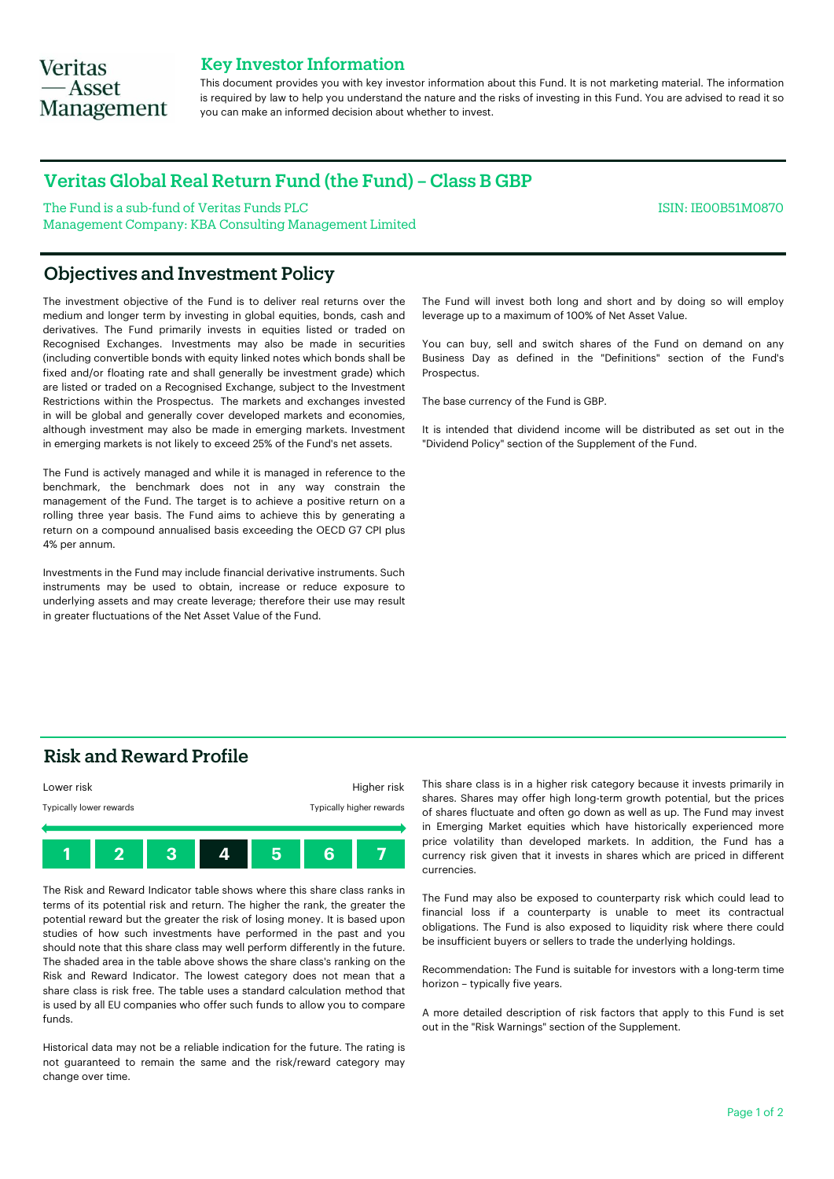# **Veritas** — Asset **Management**

## Key Investor Information

This document provides you with key investor information about this Fund. It is not marketing material. The information is required by law to help you understand the nature and the risks of investing in this Fund. You are advised to read it so you can make an informed decision about whether to invest.

## Veritas Global Real Return Fund (the Fund) – Class B GBP

The Fund is a sub-fund of Veritas Funds PLC Management Company: KBA Consulting Management Limited ISIN: IE00B51M0870

## Objectives and Investment Policy

The investment objective of the Fund is to deliver real returns over the medium and longer term by investing in global equities, bonds, cash and derivatives. The Fund primarily invests in equities listed or traded on Recognised Exchanges. Investments may also be made in securities (including convertible bonds with equity linked notes which bonds shall be fixed and/or floating rate and shall generally be investment grade) which are listed or traded on a Recognised Exchange, subject to the Investment Restrictions within the Prospectus. The markets and exchanges invested in will be global and generally cover developed markets and economies, although investment may also be made in emerging markets. Investment in emerging markets is not likely to exceed 25% of the Fund's net assets.

The Fund is actively managed and while it is managed in reference to the benchmark, the benchmark does not in any way constrain the management of the Fund. The target is to achieve a positive return on a rolling three year basis. The Fund aims to achieve this by generating a return on a compound annualised basis exceeding the OECD G7 CPI plus 4% per annum.

Investments in the Fund may include financial derivative instruments. Such instruments may be used to obtain, increase or reduce exposure to underlying assets and may create leverage; therefore their use may result in greater fluctuations of the Net Asset Value of the Fund.

The Fund will invest both long and short and by doing so will employ leverage up to a maximum of 100% of Net Asset Value.

You can buy, sell and switch shares of the Fund on demand on any Business Day as defined in the "Definitions" section of the Fund's Prospectus.

The base currency of the Fund is GBP.

It is intended that dividend income will be distributed as set out in the "Dividend Policy" section of the Supplement of the Fund.

## Risk and Reward Profile



The Risk and Reward Indicator table shows where this share class ranks in terms of its potential risk and return. The higher the rank, the greater the potential reward but the greater the risk of losing money. It is based upon studies of how such investments have performed in the past and you should note that this share class may well perform differently in the future. The shaded area in the table above shows the share class's ranking on the Risk and Reward Indicator. The lowest category does not mean that a share class is risk free. The table uses a standard calculation method that is used by all EU companies who offer such funds to allow you to compare funds.

Historical data may not be a reliable indication for the future. The rating is not guaranteed to remain the same and the risk/reward category may change over time.

This share class is in a higher risk category because it invests primarily in shares. Shares may offer high long-term growth potential, but the prices of shares fluctuate and often go down as well as up. The Fund may invest in Emerging Market equities which have historically experienced more price volatility than developed markets. In addition, the Fund has a currency risk given that it invests in shares which are priced in different currencies.

The Fund may also be exposed to counterparty risk which could lead to financial loss if a counterparty is unable to meet its contractual obligations. The Fund is also exposed to liquidity risk where there could be insufficient buyers or sellers to trade the underlying holdings.

Recommendation: The Fund is suitable for investors with a long-term time horizon – typically five years.

A more detailed description of risk factors that apply to this Fund is set out in the "Risk Warnings" section of the Supplement.